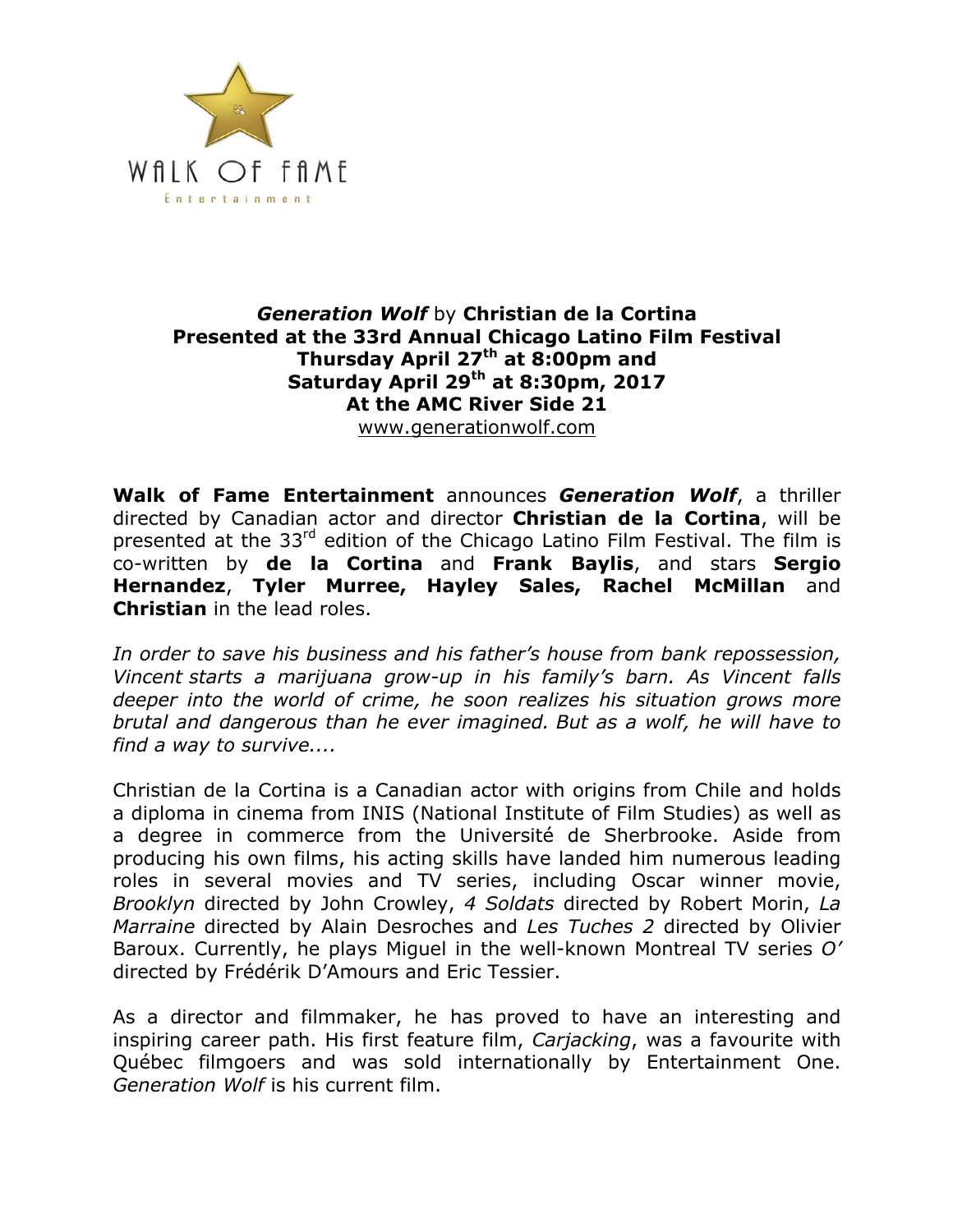

### *Generation Wolf* by **Christian de la Cortina Presented at the 33rd Annual Chicago Latino Film Festival Thursday April 27th at 8:00pm and Saturday April 29th at 8:30pm, 2017 At the AMC River Side 21** www.generationwolf.com

**Walk of Fame Entertainment** announces *Generation Wolf*, a thriller directed by Canadian actor and director **Christian de la Cortina**, will be presented at the 33<sup>rd</sup> edition of the Chicago Latino Film Festival. The film is co-written by **de la Cortina** and **Frank Baylis**, and stars **Sergio Hernandez**, **Tyler Murree, Hayley Sales, Rachel McMillan** and **Christian** in the lead roles.

*In order to save his business and his father's house from bank repossession, Vincent starts a marijuana grow-up in his family's barn. As Vincent falls deeper into the world of crime, he soon realizes his situation grows more brutal and dangerous than he ever imagined. But as a wolf, he will have to find a way to survive....*

Christian de la Cortina is a Canadian actor with origins from Chile and holds a diploma in cinema from INIS (National Institute of Film Studies) as well as a degree in commerce from the Université de Sherbrooke. Aside from producing his own films, his acting skills have landed him numerous leading roles in several movies and TV series, including Oscar winner movie, *Brooklyn* directed by John Crowley, *4 Soldats* directed by Robert Morin, *La Marraine* directed by Alain Desroches and *Les Tuches 2* directed by Olivier Baroux. Currently, he plays Miguel in the well-known Montreal TV series *O'* directed by Frédérik D'Amours and Eric Tessier.

As a director and filmmaker, he has proved to have an interesting and inspiring career path. His first feature film, *Carjacking*, was a favourite with Québec filmgoers and was sold internationally by Entertainment One. *Generation Wolf* is his current film.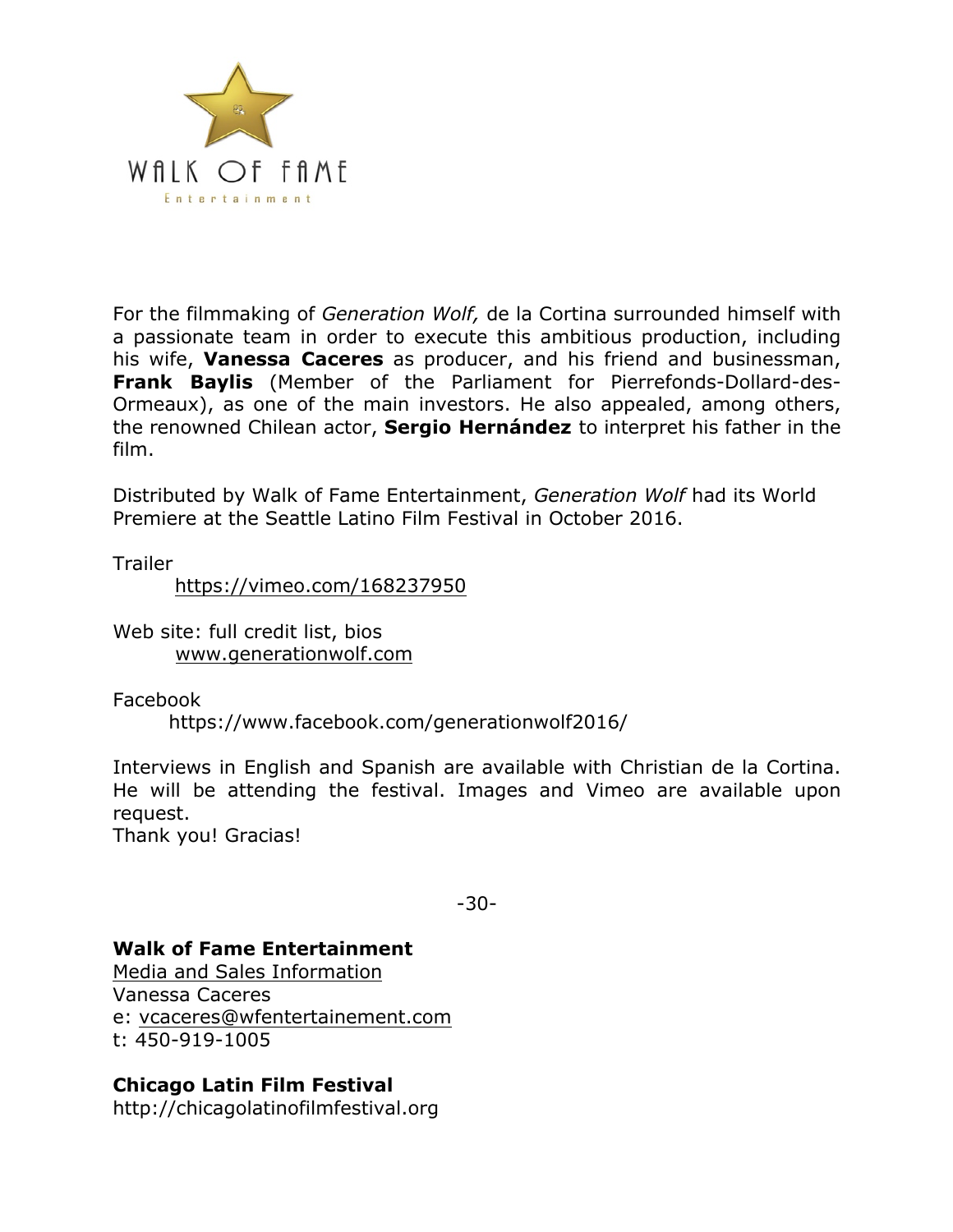

For the filmmaking of *Generation Wolf,* de la Cortina surrounded himself with a passionate team in order to execute this ambitious production, including his wife, **Vanessa Caceres** as producer, and his friend and businessman, **Frank Baylis** (Member of the Parliament for Pierrefonds-Dollard-des-Ormeaux), as one of the main investors. He also appealed, among others, the renowned Chilean actor, **Sergio Hernández** to interpret his father in the film.

Distributed by Walk of Fame Entertainment, *Generation Wolf* had its World Premiere at the Seattle Latino Film Festival in October 2016.

**Trailer** 

https://vimeo.com/168237950

Web site: full credit list, bios www.generationwolf.com

Facebook

https://www.facebook.com/generationwolf2016/

Interviews in English and Spanish are available with Christian de la Cortina. He will be attending the festival. Images and Vimeo are available upon request.

Thank you! Gracias!

-30-

### **Walk of Fame Entertainment**

Media and Sales Information Vanessa Caceres e: vcaceres@wfentertainement.com t: 450-919-1005

# **Chicago Latin Film Festival**

http://chicagolatinofilmfestival.org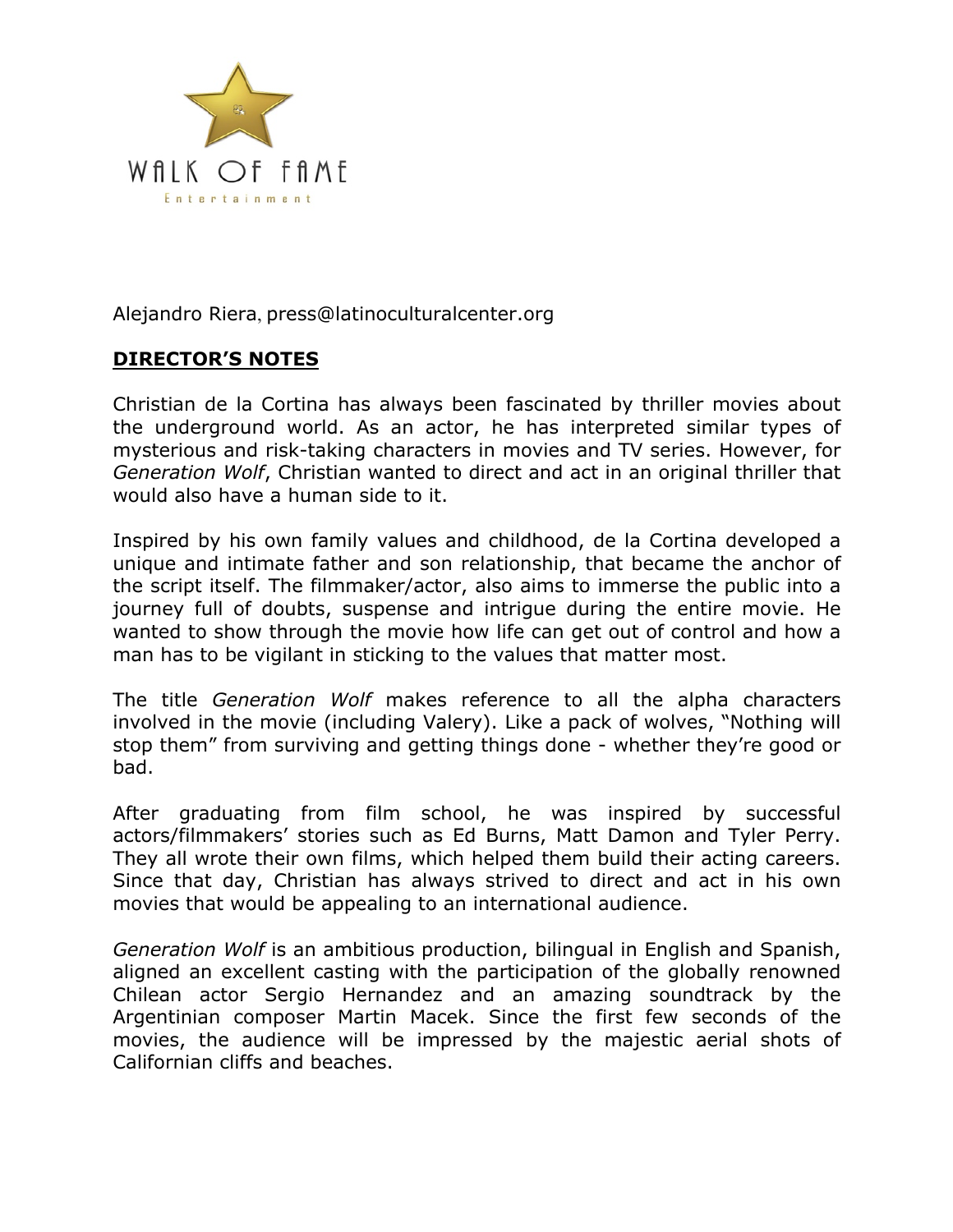

Alejandro Riera, press@latinoculturalcenter.org

# **DIRECTOR'S NOTES**

Christian de la Cortina has always been fascinated by thriller movies about the underground world. As an actor, he has interpreted similar types of mysterious and risk-taking characters in movies and TV series. However, for *Generation Wolf*, Christian wanted to direct and act in an original thriller that would also have a human side to it.

Inspired by his own family values and childhood, de la Cortina developed a unique and intimate father and son relationship, that became the anchor of the script itself. The filmmaker/actor, also aims to immerse the public into a journey full of doubts, suspense and intrigue during the entire movie. He wanted to show through the movie how life can get out of control and how a man has to be vigilant in sticking to the values that matter most.

The title *Generation Wolf* makes reference to all the alpha characters involved in the movie (including Valery). Like a pack of wolves, "Nothing will stop them" from surviving and getting things done - whether they're good or bad.

After graduating from film school, he was inspired by successful actors/filmmakers' stories such as Ed Burns, Matt Damon and Tyler Perry. They all wrote their own films, which helped them build their acting careers. Since that day, Christian has always strived to direct and act in his own movies that would be appealing to an international audience.

*Generation Wolf* is an ambitious production, bilingual in English and Spanish, aligned an excellent casting with the participation of the globally renowned Chilean actor Sergio Hernandez and an amazing soundtrack by the Argentinian composer Martin Macek. Since the first few seconds of the movies, the audience will be impressed by the majestic aerial shots of Californian cliffs and beaches.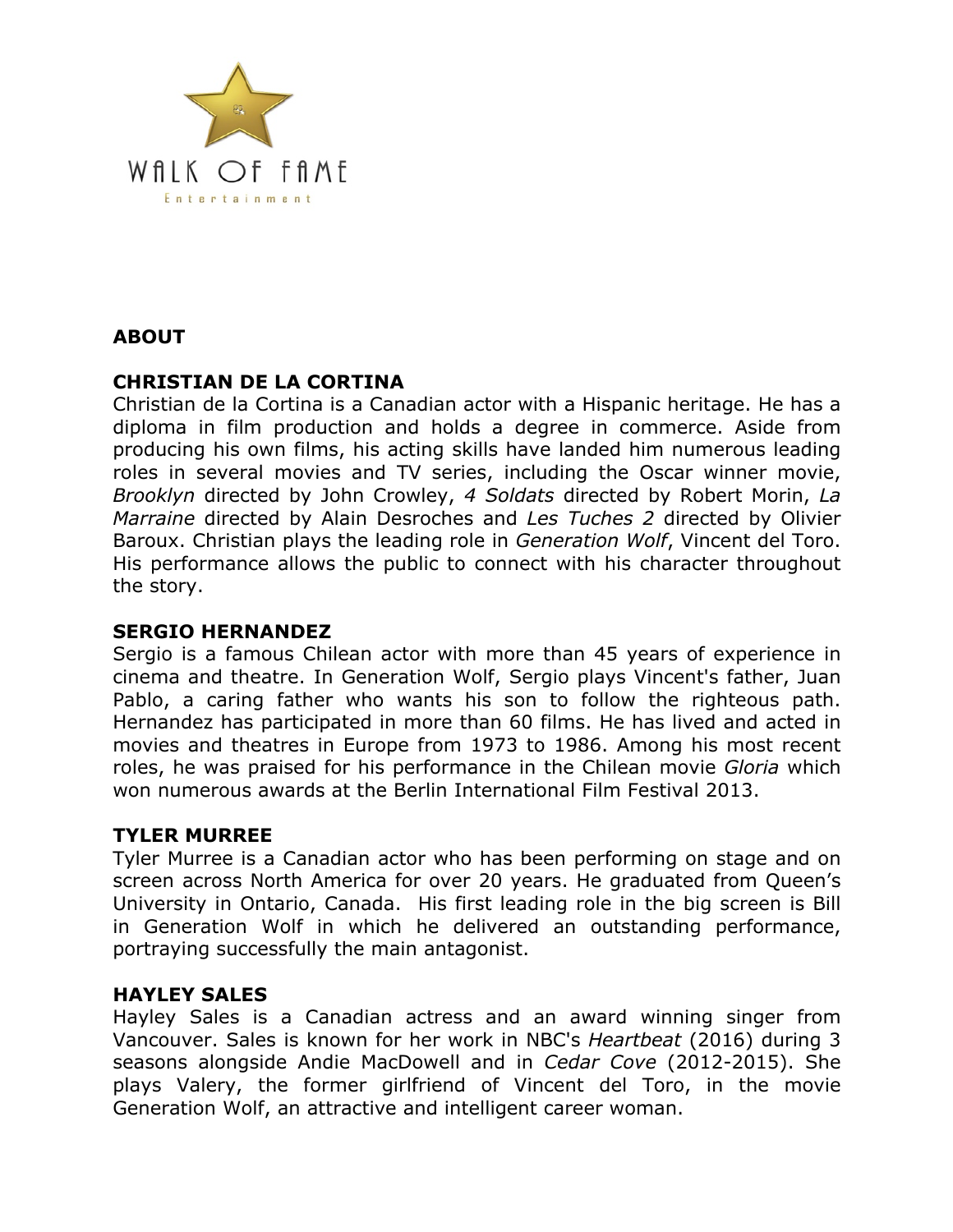

# **ABOUT**

# **CHRISTIAN DE LA CORTINA**

Christian de la Cortina is a Canadian actor with a Hispanic heritage. He has a diploma in film production and holds a degree in commerce. Aside from producing his own films, his acting skills have landed him numerous leading roles in several movies and TV series, including the Oscar winner movie, *Brooklyn* directed by John Crowley, *4 Soldats* directed by Robert Morin, *La Marraine* directed by Alain Desroches and *Les Tuches 2* directed by Olivier Baroux. Christian plays the leading role in *Generation Wolf*, Vincent del Toro. His performance allows the public to connect with his character throughout the story.

### **SERGIO HERNANDEZ**

Sergio is a famous Chilean actor with more than 45 years of experience in cinema and theatre. In Generation Wolf, Sergio plays Vincent's father, Juan Pablo, a caring father who wants his son to follow the righteous path. Hernandez has participated in more than 60 films. He has lived and acted in movies and theatres in Europe from 1973 to 1986. Among his most recent roles, he was praised for his performance in the Chilean movie *Gloria* which won numerous awards at the Berlin International Film Festival 2013.

### **TYLER MURREE**

Tyler Murree is a Canadian actor who has been performing on stage and on screen across North America for over 20 years. He graduated from Queen's University in Ontario, Canada. His first leading role in the big screen is Bill in Generation Wolf in which he delivered an outstanding performance, portraying successfully the main antagonist.

# **HAYLEY SALES**

Hayley Sales is a Canadian actress and an award winning singer from Vancouver. Sales is known for her work in NBC's *Heartbeat* (2016) during 3 seasons alongside Andie MacDowell and in *Cedar Cove* (2012-2015). She plays Valery, the former girlfriend of Vincent del Toro, in the movie Generation Wolf, an attractive and intelligent career woman.